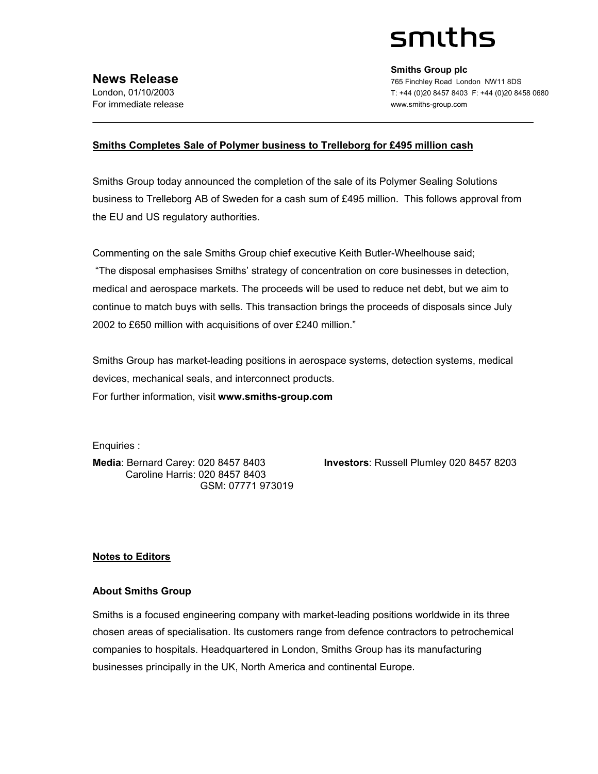# smiths

**Smiths Group plc**  765 Finchley Road London NW11 8DS T: +44 (0)20 8457 8403 F: +44 (0)20 8458 0680 www.smiths-group.com

## **Smiths Completes Sale of Polymer business to Trelleborg for £495 million cash**

Smiths Group today announced the completion of the sale of its Polymer Sealing Solutions business to Trelleborg AB of Sweden for a cash sum of £495 million. This follows approval from the EU and US regulatory authorities.

Commenting on the sale Smiths Group chief executive Keith Butler-Wheelhouse said; "The disposal emphasises Smiths' strategy of concentration on core businesses in detection, medical and aerospace markets. The proceeds will be used to reduce net debt, but we aim to continue to match buys with sells. This transaction brings the proceeds of disposals since July 2002 to £650 million with acquisitions of over £240 million."

Smiths Group has market-leading positions in aerospace systems, detection systems, medical devices, mechanical seals, and interconnect products. For further information, visit **www.smiths-group.com**

Enquiries :

 Caroline Harris: 020 8457 8403 GSM: 07771 973019

**Media**: Bernard Carey: 020 8457 8403 **Investors**: Russell Plumley 020 8457 8203

# **Notes to Editors**

#### **About Smiths Group**

Smiths is a focused engineering company with market-leading positions worldwide in its three chosen areas of specialisation. Its customers range from defence contractors to petrochemical companies to hospitals. Headquartered in London, Smiths Group has its manufacturing businesses principally in the UK, North America and continental Europe.